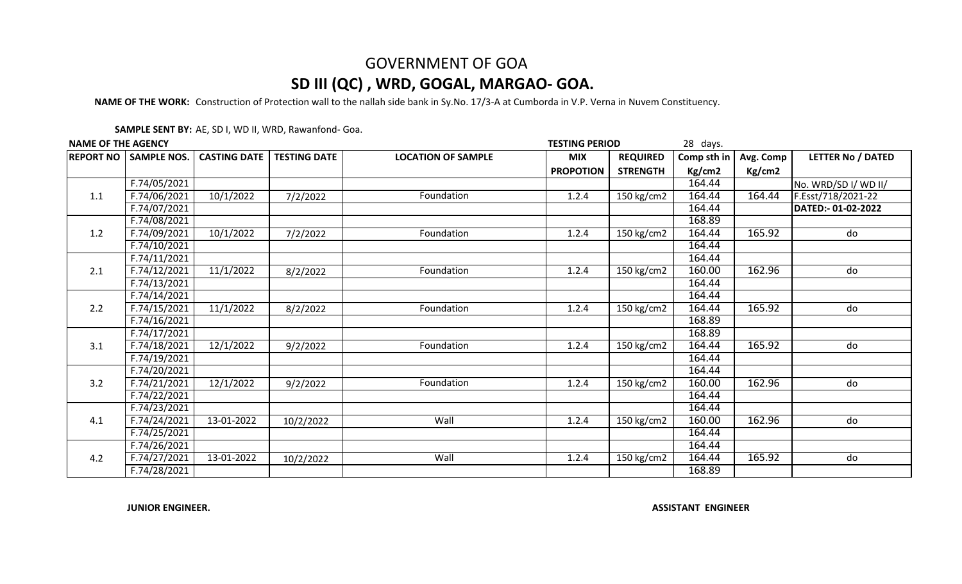**NAME OF THE WORK:** Construction of Protection wall to the nallah side bank in Sy.No. 17/3-A at Cumborda in V.P. Verna in Nuvem Constituency.

**SAMPLE SENT BY:** AE, SD I, WD II, WRD, Rawanfond- Goa.

| <b>NAME OF THE AGENCY</b> |                              |                     |                     |                           | 28 days.<br><b>TESTING PERIOD</b> |                 |             |           |                          |
|---------------------------|------------------------------|---------------------|---------------------|---------------------------|-----------------------------------|-----------------|-------------|-----------|--------------------------|
|                           | <b>REPORT NO SAMPLE NOS.</b> | <b>CASTING DATE</b> | <b>TESTING DATE</b> | <b>LOCATION OF SAMPLE</b> | <b>MIX</b>                        | <b>REQUIRED</b> | Comp sth in | Avg. Comp | <b>LETTER No / DATED</b> |
|                           |                              |                     |                     |                           | <b>PROPOTION</b>                  | <b>STRENGTH</b> | Kg/cm2      | Kg/cm2    |                          |
| 1.1                       | F.74/05/2021                 |                     |                     |                           |                                   |                 | 164.44      |           | No. WRD/SD I/ WD II/     |
|                           | F.74/06/2021                 | 10/1/2022           | 7/2/2022            | Foundation                | 1.2.4                             | 150 kg/cm2      | 164.44      | 164.44    | F.Esst/718/2021-22       |
|                           | F.74/07/2021                 |                     |                     |                           |                                   |                 | 164.44      |           | DATED:-01-02-2022        |
|                           | F.74/08/2021                 |                     |                     |                           |                                   |                 | 168.89      |           |                          |
| 1.2                       | F.74/09/2021                 | 10/1/2022           | 7/2/2022            | Foundation                | 1.2.4                             | 150 kg/cm2      | 164.44      | 165.92    | do                       |
|                           | F.74/10/2021                 |                     |                     |                           |                                   |                 | 164.44      |           |                          |
|                           | F.74/11/2021                 |                     |                     |                           |                                   |                 | 164.44      |           |                          |
| 2.1                       | F.74/12/2021                 | 11/1/2022           | 8/2/2022            | Foundation                | 1.2.4                             | 150 kg/cm2      | 160.00      | 162.96    | do                       |
|                           | F.74/13/2021                 |                     |                     |                           |                                   |                 | 164.44      |           |                          |
| 2.2                       | F.74/14/2021                 |                     |                     |                           |                                   |                 | 164.44      |           |                          |
|                           | F.74/15/2021                 | 11/1/2022           | 8/2/2022            | Foundation                | 1.2.4                             | 150 kg/cm2      | 164.44      | 165.92    | do                       |
|                           | F.74/16/2021                 |                     |                     |                           |                                   |                 | 168.89      |           |                          |
|                           | F.74/17/2021                 |                     |                     |                           |                                   |                 | 168.89      |           |                          |
| 3.1                       | F.74/18/2021                 | 12/1/2022           | 9/2/2022            | Foundation                | 1.2.4                             | 150 kg/cm2      | 164.44      | 165.92    | do                       |
|                           | F.74/19/2021                 |                     |                     |                           |                                   |                 | 164.44      |           |                          |
|                           | F.74/20/2021                 |                     |                     |                           |                                   |                 | 164.44      |           |                          |
| 3.2                       | F.74/21/2021                 | 12/1/2022           | 9/2/2022            | Foundation                | 1.2.4                             | 150 kg/cm2      | 160.00      | 162.96    | do                       |
|                           | F.74/22/2021                 |                     |                     |                           |                                   |                 | 164.44      |           |                          |
|                           | $\sqrt{F \cdot 74/23/2021}$  |                     |                     |                           |                                   |                 | 164.44      |           |                          |
| 4.1                       | F.74/24/2021                 | 13-01-2022          | 10/2/2022           | Wall                      | 1.2.4                             | $150$ kg/cm2    | 160.00      | 162.96    | do                       |
|                           | F.74/25/2021                 |                     |                     |                           |                                   |                 | 164.44      |           |                          |
| 4.2                       | F.74/26/2021                 |                     |                     |                           |                                   |                 | 164.44      |           |                          |
|                           | F.74/27/2021                 | 13-01-2022          | 10/2/2022           | Wall                      | 1.2.4                             | $150$ kg/cm2    | 164.44      | 165.92    | do                       |
|                           | F.74/28/2021                 |                     |                     |                           |                                   |                 | 168.89      |           |                          |

**JUNIOR ENGINEER.**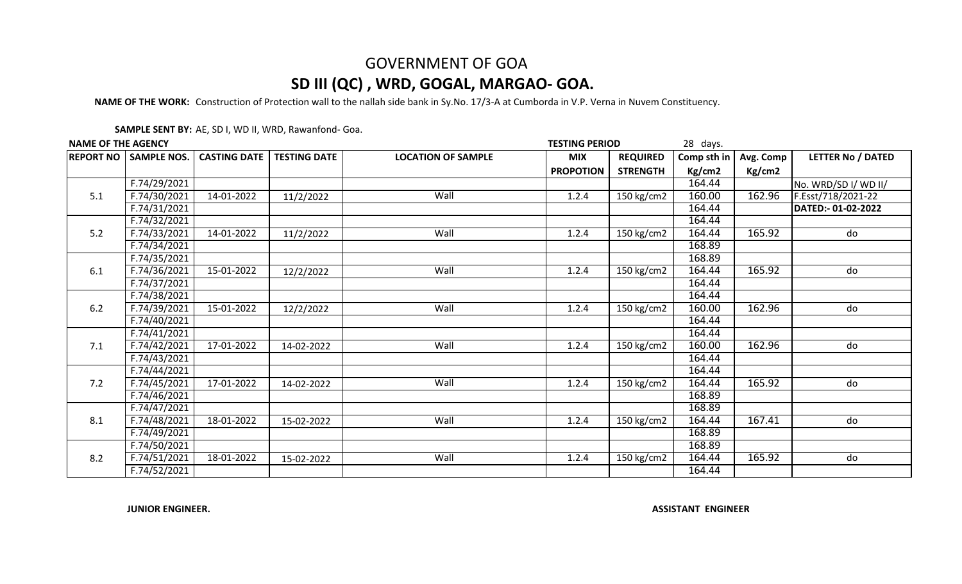**NAME OF THE WORK:** Construction of Protection wall to the nallah side bank in Sy.No. 17/3-A at Cumborda in V.P. Verna in Nuvem Constituency.

**SAMPLE SENT BY:** AE, SD I, WD II, WRD, Rawanfond- Goa.

| <b>NAME OF THE AGENCY</b> |                              |                     |                     |                           | 28 days.<br><b>TESTING PERIOD</b> |                 |             |           |                          |
|---------------------------|------------------------------|---------------------|---------------------|---------------------------|-----------------------------------|-----------------|-------------|-----------|--------------------------|
|                           | <b>REPORT NO SAMPLE NOS.</b> | <b>CASTING DATE</b> | <b>TESTING DATE</b> | <b>LOCATION OF SAMPLE</b> | <b>MIX</b>                        | <b>REQUIRED</b> | Comp sth in | Avg. Comp | <b>LETTER No / DATED</b> |
|                           |                              |                     |                     |                           | <b>PROPOTION</b>                  | <b>STRENGTH</b> | Kg/cm2      | Kg/cm2    |                          |
| 5.1                       | F.74/29/2021                 |                     |                     |                           |                                   |                 | 164.44      |           | No. WRD/SD I/ WD II/     |
|                           | F.74/30/2021                 | $14 - 01 - 2022$    | 11/2/2022           | Wall                      | 1.2.4                             | 150 kg/cm2      | 160.00      | 162.96    | F.Esst/718/2021-22       |
|                           | F.74/31/2021                 |                     |                     |                           |                                   |                 | 164.44      |           | DATED:- 01-02-2022       |
|                           | F.74/32/2021                 |                     |                     |                           |                                   |                 | 164.44      |           |                          |
| 5.2                       | F.74/33/2021                 | 14-01-2022          | 11/2/2022           | Wall                      | 1.2.4                             | 150 kg/cm2      | 164.44      | 165.92    | do                       |
|                           | F.74/34/2021                 |                     |                     |                           |                                   |                 | 168.89      |           |                          |
|                           | F.74/35/2021                 |                     |                     |                           |                                   |                 | 168.89      |           |                          |
| 6.1                       | F.74/36/2021                 | 15-01-2022          | 12/2/2022           | Wall                      | 1.2.4                             | 150 kg/cm2      | 164.44      | 165.92    | do                       |
|                           | F.74/37/2021                 |                     |                     |                           |                                   |                 | 164.44      |           |                          |
| 6.2                       | F.74/38/2021                 |                     |                     |                           |                                   |                 | 164.44      |           |                          |
|                           | F.74/39/2021                 | 15-01-2022          | 12/2/2022           | Wall                      | 1.2.4                             | 150 kg/cm2      | 160.00      | 162.96    | do                       |
|                           | F.74/40/2021                 |                     |                     |                           |                                   |                 | 164.44      |           |                          |
|                           | F.74/41/2021                 |                     |                     |                           |                                   |                 | 164.44      |           |                          |
| 7.1                       | F.74/42/2021                 | 17-01-2022          | 14-02-2022          | Wall                      | 1.2.4                             | 150 kg/cm2      | 160.00      | 162.96    | do                       |
|                           | F.74/43/2021                 |                     |                     |                           |                                   |                 | 164.44      |           |                          |
|                           | F.74/44/2021                 |                     |                     |                           |                                   |                 | 164.44      |           |                          |
| 7.2                       | F.74/45/2021                 | 17-01-2022          | 14-02-2022          | Wall                      | 1.2.4                             | $150$ kg/cm2    | 164.44      | 165.92    | do                       |
|                           | F.74/46/2021                 |                     |                     |                           |                                   |                 | 168.89      |           |                          |
|                           | F.74/47/2021                 |                     |                     |                           |                                   |                 | 168.89      |           |                          |
| 8.1                       | F.74/48/2021                 | 18-01-2022          | 15-02-2022          | Wall                      | 1.2.4                             | 150 kg/cm2      | 164.44      | 167.41    | do                       |
|                           | F.74/49/2021                 |                     |                     |                           |                                   |                 | 168.89      |           |                          |
| 8.2                       | F.74/50/2021                 |                     |                     |                           |                                   |                 | 168.89      |           |                          |
|                           | F.74/51/2021                 | 18-01-2022          | 15-02-2022          | Wall                      | 1.2.4                             | $150$ kg/cm2    | 164.44      | 165.92    | do                       |
|                           | F.74/52/2021                 |                     |                     |                           |                                   |                 | 164.44      |           |                          |

**JUNIOR ENGINEER.**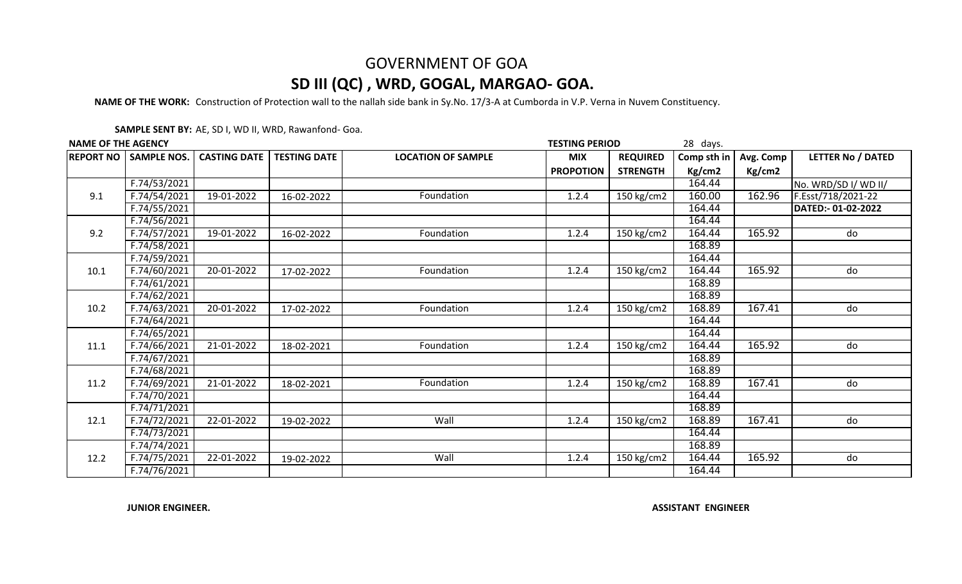**NAME OF THE WORK:** Construction of Protection wall to the nallah side bank in Sy.No. 17/3-A at Cumborda in V.P. Verna in Nuvem Constituency.

**SAMPLE SENT BY:** AE, SD I, WD II, WRD, Rawanfond- Goa.

| <b>NAME OF THE AGENCY</b> |                              |                     |                     |                           | 28 days.<br><b>TESTING PERIOD</b> |                 |             |           |                          |
|---------------------------|------------------------------|---------------------|---------------------|---------------------------|-----------------------------------|-----------------|-------------|-----------|--------------------------|
|                           | <b>REPORT NO SAMPLE NOS.</b> | <b>CASTING DATE</b> | <b>TESTING DATE</b> | <b>LOCATION OF SAMPLE</b> | <b>MIX</b>                        | <b>REQUIRED</b> | Comp sth in | Avg. Comp | <b>LETTER No / DATED</b> |
|                           |                              |                     |                     |                           | <b>PROPOTION</b>                  | <b>STRENGTH</b> | Kg/cm2      | Kg/cm2    |                          |
|                           | F.74/53/2021                 |                     |                     |                           |                                   |                 | 164.44      |           | No. WRD/SD I/ WD II/     |
| 9.1                       | F.74/54/2021                 | 19-01-2022          | 16-02-2022          | Foundation                | 1.2.4                             | $150$ kg/cm2    | 160.00      | 162.96    | F.Esst/718/2021-22       |
|                           | F.74/55/2021                 |                     |                     |                           |                                   |                 | 164.44      |           | DATED:-01-02-2022        |
|                           | F.74/56/2021                 |                     |                     |                           |                                   |                 | 164.44      |           |                          |
| 9.2                       | F.74/57/2021                 | 19-01-2022          | 16-02-2022          | Foundation                | 1.2.4                             | $150$ kg/cm2    | 164.44      | 165.92    | do                       |
|                           | F.74/58/2021                 |                     |                     |                           |                                   |                 | 168.89      |           |                          |
|                           | F.74/59/2021                 |                     |                     |                           |                                   |                 | 164.44      |           |                          |
| 10.1                      | F.74/60/2021                 | 20-01-2022          | 17-02-2022          | Foundation                | 1.2.4                             | $150$ kg/cm2    | 164.44      | 165.92    | do                       |
|                           | F.74/61/2021                 |                     |                     |                           |                                   |                 | 168.89      |           |                          |
|                           | F.74/62/2021                 |                     |                     |                           |                                   |                 | 168.89      |           |                          |
| 10.2                      | F.74/63/2021                 | 20-01-2022          | 17-02-2022          | Foundation                | 1.2.4                             | 150 kg/cm2      | 168.89      | 167.41    | do                       |
|                           | F.74/64/2021                 |                     |                     |                           |                                   |                 | 164.44      |           |                          |
|                           | F.74/65/2021                 |                     |                     |                           |                                   |                 | 164.44      |           |                          |
| 11.1                      | F.74/66/2021                 | 21-01-2022          | 18-02-2021          | Foundation                | 1.2.4                             | 150 kg/cm2      | 164.44      | 165.92    | do                       |
|                           | F.74/67/2021                 |                     |                     |                           |                                   |                 | 168.89      |           |                          |
|                           | F.74/68/2021                 |                     |                     |                           |                                   |                 | 168.89      |           |                          |
| 11.2                      | F.74/69/2021                 | 21-01-2022          | 18-02-2021          | Foundation                | 1.2.4                             | $150$ kg/cm2    | 168.89      | 167.41    | do                       |
|                           | F.74/70/2021                 |                     |                     |                           |                                   |                 | 164.44      |           |                          |
|                           | F.74/71/2021                 |                     |                     |                           |                                   |                 | 168.89      |           |                          |
| 12.1                      | F.74/72/2021                 | 22-01-2022          | 19-02-2022          | Wall                      | 1.2.4                             | $150$ kg/cm2    | 168.89      | 167.41    | $\overline{d}$           |
|                           | F.74/73/2021                 |                     |                     |                           |                                   |                 | 164.44      |           |                          |
| 12.2                      | F.74/74/2021                 |                     |                     |                           |                                   |                 | 168.89      |           |                          |
|                           | F.74/75/2021                 | 22-01-2022          | 19-02-2022          | Wall                      | 1.2.4                             | 150 kg/cm2      | 164.44      | 165.92    | do                       |
|                           | F.74/76/2021                 |                     |                     |                           |                                   |                 | 164.44      |           |                          |

**JUNIOR ENGINEER.**